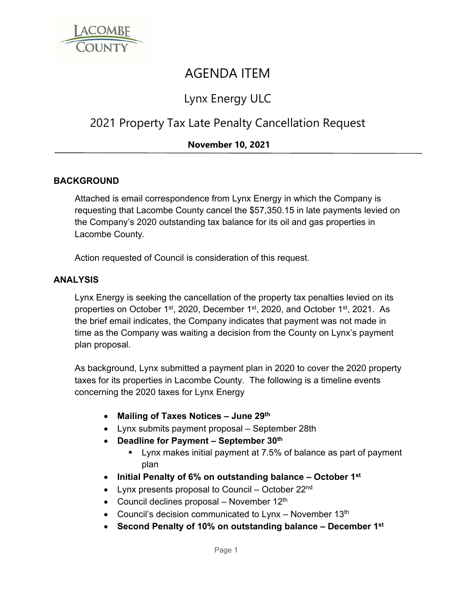

# AGENDA ITEM

## Lynx Energy ULC

### 2021 Property Tax Late Penalty Cancellation Request

### **November 10, 2021**

#### **BACKGROUND**

Attached is email correspondence from Lynx Energy in which the Company is requesting that Lacombe County cancel the \$57,350.15 in late payments levied on the Company's 2020 outstanding tax balance for its oil and gas properties in Lacombe County.

Action requested of Council is consideration of this request.

#### **ANALYSIS**

Lynx Energy is seeking the cancellation of the property tax penalties levied on its properties on October 1st, 2020, December 1st, 2020, and October 1st, 2021. As the brief email indicates, the Company indicates that payment was not made in time as the Company was waiting a decision from the County on Lynx's payment plan proposal.

As background, Lynx submitted a payment plan in 2020 to cover the 2020 property taxes for its properties in Lacombe County. The following is a timeline events concerning the 2020 taxes for Lynx Energy

- **Mailing of Taxes Notices June 29th**
- Lynx submits payment proposal September 28th
- **Deadline for Payment September 30th**
	- Lynx makes initial payment at 7.5% of balance as part of payment plan
- **Initial Penalty of 6% on outstanding balance October 1st**
- Lynx presents proposal to Council October 22<sup>nd</sup>
- Council declines proposal November  $12<sup>th</sup>$
- Council's decision communicated to Lynx November  $13<sup>th</sup>$
- **Second Penalty of 10% on outstanding balance December 1st**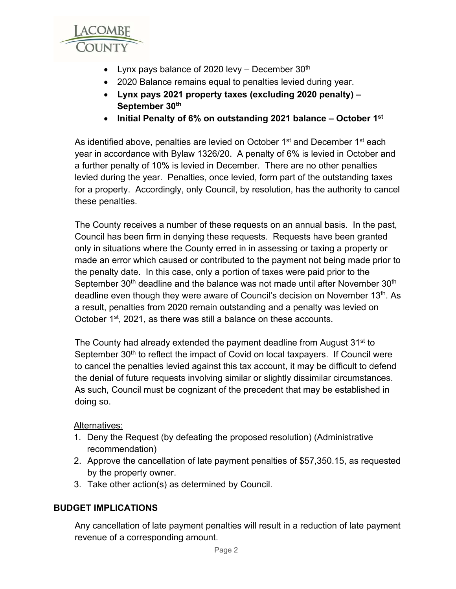

- Lynx pays balance of 2020 levy December  $30<sup>th</sup>$
- 2020 Balance remains equal to penalties levied during year.
- **Lynx pays 2021 property taxes (excluding 2020 penalty) September 30th**
- **Initial Penalty of 6% on outstanding 2021 balance October 1st**

As identified above, penalties are levied on October 1<sup>st</sup> and December 1<sup>st</sup> each year in accordance with Bylaw 1326/20. A penalty of 6% is levied in October and a further penalty of 10% is levied in December. There are no other penalties levied during the year. Penalties, once levied, form part of the outstanding taxes for a property. Accordingly, only Council, by resolution, has the authority to cancel these penalties.

The County receives a number of these requests on an annual basis. In the past, Council has been firm in denying these requests. Requests have been granted only in situations where the County erred in in assessing or taxing a property or made an error which caused or contributed to the payment not being made prior to the penalty date. In this case, only a portion of taxes were paid prior to the September 30<sup>th</sup> deadline and the balance was not made until after November 30<sup>th</sup> deadline even though they were aware of Council's decision on November 13<sup>th</sup>. As a result, penalties from 2020 remain outstanding and a penalty was levied on October 1<sup>st</sup>, 2021, as there was still a balance on these accounts.

The County had already extended the payment deadline from August  $31<sup>st</sup>$  to September 30<sup>th</sup> to reflect the impact of Covid on local taxpayers. If Council were to cancel the penalties levied against this tax account, it may be difficult to defend the denial of future requests involving similar or slightly dissimilar circumstances. As such, Council must be cognizant of the precedent that may be established in doing so.

#### Alternatives:

- 1. Deny the Request (by defeating the proposed resolution) (Administrative recommendation)
- 2. Approve the cancellation of late payment penalties of \$57,350.15, as requested by the property owner.
- 3. Take other action(s) as determined by Council.

#### **BUDGET IMPLICATIONS**

Any cancellation of late payment penalties will result in a reduction of late payment revenue of a corresponding amount.